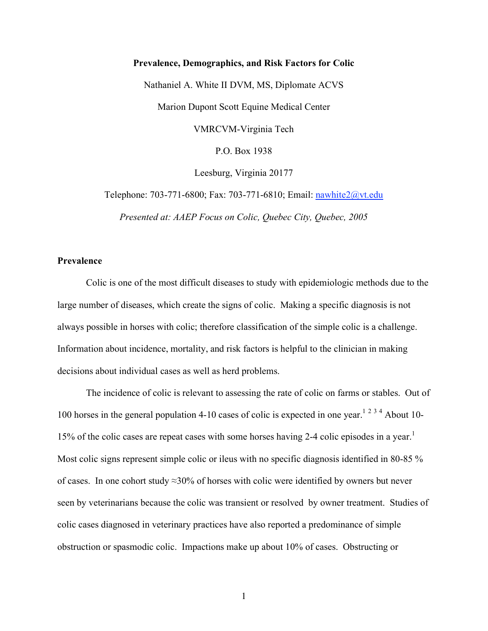## **Prevalence, Demographics, and Risk Factors for Colic**

Nathaniel A. White II DVM, MS, Diplomate ACVS Marion Dupont Scott Equine Medical Center VMRCVM-Virginia Tech P.O. Box 1938 Leesburg, Virginia 20177

Telephone: 703-771-6800; Fax: 703-771-6810; Email: nawhite2@vt.edu

*Presented at: AAEP Focus on Colic, Quebec City, Quebec, 2005*

## **Prevalence**

Colic is one of the most difficult diseases to study with epidemiologic methods due to the large number of diseases, which create the signs of colic. Making a specific diagnosis is not always possible in horses with colic; therefore classification of the simple colic is a challenge. Information about incidence, mortality, and risk factors is helpful to the clinician in making decisions about individual cases as well as herd problems.

The incidence of colic is relevant to assessing the rate of colic on farms or stables. Out of 100 horses in the general population 4-10 cases of colic is expected in one year.<sup>1234</sup> About 10-15% of the colic cases are repeat cases with some horses having 2-4 colic episodes in a year.<sup>1</sup> Most colic signs represent simple colic or ileus with no specific diagnosis identified in 80-85 % of cases. In one cohort study ≈30% of horses with colic were identified by owners but never seen by veterinarians because the colic was transient or resolved by owner treatment. Studies of colic cases diagnosed in veterinary practices have also reported a predominance of simple obstruction or spasmodic colic. Impactions make up about 10% of cases. Obstructing or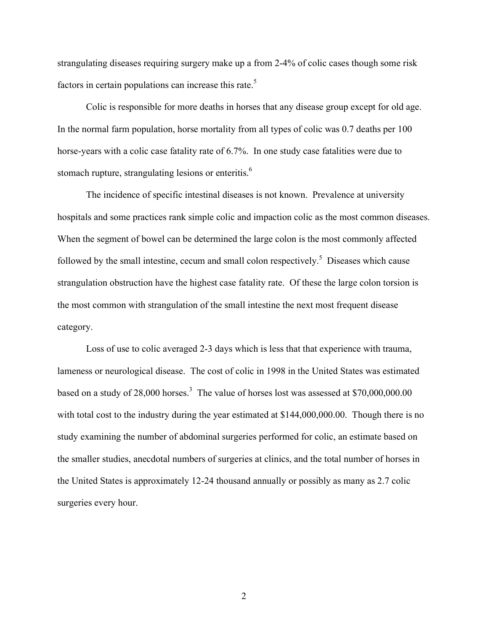strangulating diseases requiring surgery make up a from 2-4% of colic cases though some risk factors in certain populations can increase this rate.<sup>5</sup>

Colic is responsible for more deaths in horses that any disease group except for old age. In the normal farm population, horse mortality from all types of colic was 0.7 deaths per 100 horse-years with a colic case fatality rate of 6.7%. In one study case fatalities were due to stomach rupture, strangulating lesions or enteritis.<sup>6</sup>

The incidence of specific intestinal diseases is not known. Prevalence at university hospitals and some practices rank simple colic and impaction colic as the most common diseases. When the segment of bowel can be determined the large colon is the most commonly affected followed by the small intestine, cecum and small colon respectively.<sup>5</sup> Diseases which cause strangulation obstruction have the highest case fatality rate. Of these the large colon torsion is the most common with strangulation of the small intestine the next most frequent disease category.

Loss of use to colic averaged 2-3 days which is less that that experience with trauma, lameness or neurological disease. The cost of colic in 1998 in the United States was estimated based on a study of 28,000 horses.<sup>3</sup> The value of horses lost was assessed at \$70,000,000.00 with total cost to the industry during the year estimated at \$144,000,000.00. Though there is no study examining the number of abdominal surgeries performed for colic, an estimate based on the smaller studies, anecdotal numbers of surgeries at clinics, and the total number of horses in the United States is approximately 12-24 thousand annually or possibly as many as 2.7 colic surgeries every hour.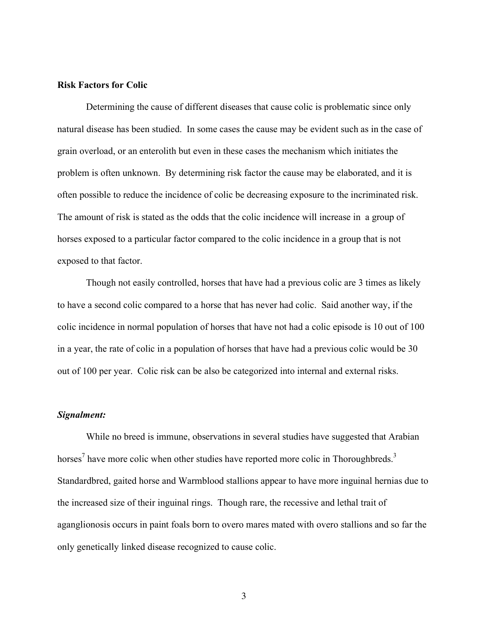## **Risk Factors for Colic**

Determining the cause of different diseases that cause colic is problematic since only natural disease has been studied. In some cases the cause may be evident such as in the case of grain overload, or an enterolith but even in these cases the mechanism which initiates the problem is often unknown. By determining risk factor the cause may be elaborated, and it is often possible to reduce the incidence of colic be decreasing exposure to the incriminated risk. The amount of risk is stated as the odds that the colic incidence will increase in a group of horses exposed to a particular factor compared to the colic incidence in a group that is not exposed to that factor.

Though not easily controlled, horses that have had a previous colic are 3 times as likely to have a second colic compared to a horse that has never had colic. Said another way, if the colic incidence in normal population of horses that have not had a colic episode is 10 out of 100 in a year, the rate of colic in a population of horses that have had a previous colic would be 30 out of 100 per year. Colic risk can be also be categorized into internal and external risks.

#### *Signalment:*

While no breed is immune, observations in several studies have suggested that Arabian horses<sup>7</sup> have more colic when other studies have reported more colic in Thoroughbreds.<sup>3</sup> Standardbred, gaited horse and Warmblood stallions appear to have more inguinal hernias due to the increased size of their inguinal rings. Though rare, the recessive and lethal trait of aganglionosis occurs in paint foals born to overo mares mated with overo stallions and so far the only genetically linked disease recognized to cause colic.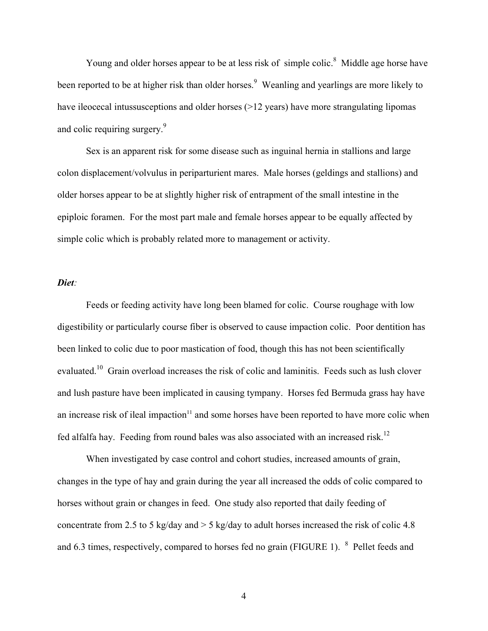Young and older horses appear to be at less risk of simple colic.<sup>8</sup> Middle age horse have been reported to be at higher risk than older horses.<sup>9</sup> Weanling and yearlings are more likely to have ileocecal intussusceptions and older horses (>12 years) have more strangulating lipomas and colic requiring surgery.<sup>9</sup>

Sex is an apparent risk for some disease such as inguinal hernia in stallions and large colon displacement/volvulus in periparturient mares. Male horses (geldings and stallions) and older horses appear to be at slightly higher risk of entrapment of the small intestine in the epiploic foramen. For the most part male and female horses appear to be equally affected by simple colic which is probably related more to management or activity.

#### *Diet:*

Feeds or feeding activity have long been blamed for colic. Course roughage with low digestibility or particularly course fiber is observed to cause impaction colic. Poor dentition has been linked to colic due to poor mastication of food, though this has not been scientifically evaluated.10 Grain overload increases the risk of colic and laminitis. Feeds such as lush clover and lush pasture have been implicated in causing tympany. Horses fed Bermuda grass hay have an increase risk of ileal impaction $11$  and some horses have been reported to have more colic when fed alfalfa hay. Feeding from round bales was also associated with an increased risk.<sup>12</sup>

When investigated by case control and cohort studies, increased amounts of grain, changes in the type of hay and grain during the year all increased the odds of colic compared to horses without grain or changes in feed. One study also reported that daily feeding of concentrate from 2.5 to 5 kg/day and  $>$  5 kg/day to adult horses increased the risk of colic 4.8 and 6.3 times, respectively, compared to horses fed no grain (FIGURE 1).  $8$  Pellet feeds and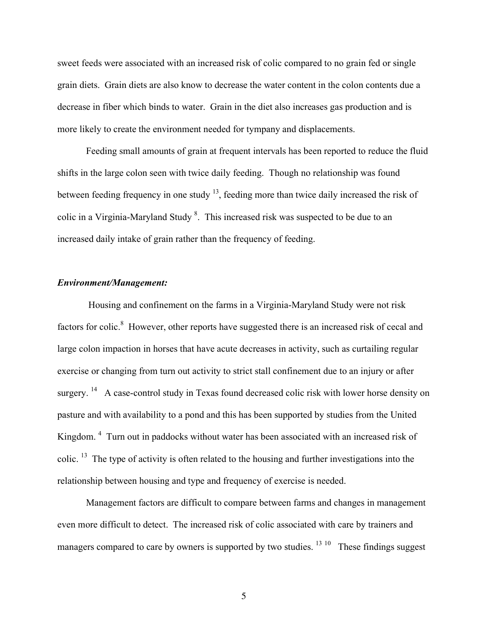sweet feeds were associated with an increased risk of colic compared to no grain fed or single grain diets. Grain diets are also know to decrease the water content in the colon contents due a decrease in fiber which binds to water. Grain in the diet also increases gas production and is more likely to create the environment needed for tympany and displacements.

Feeding small amounts of grain at frequent intervals has been reported to reduce the fluid shifts in the large colon seen with twice daily feeding. Though no relationship was found between feeding frequency in one study <sup>13</sup>, feeding more than twice daily increased the risk of colic in a Virginia-Maryland Study  $8$ . This increased risk was suspected to be due to an increased daily intake of grain rather than the frequency of feeding.

## *Environment/Management:*

 Housing and confinement on the farms in a Virginia-Maryland Study were not risk factors for colic.<sup>8</sup> However, other reports have suggested there is an increased risk of cecal and large colon impaction in horses that have acute decreases in activity, such as curtailing regular exercise or changing from turn out activity to strict stall confinement due to an injury or after surgery.  $14$  A case-control study in Texas found decreased colic risk with lower horse density on pasture and with availability to a pond and this has been supported by studies from the United Kingdom.<sup>4</sup> Turn out in paddocks without water has been associated with an increased risk of colic. <sup>13</sup> The type of activity is often related to the housing and further investigations into the relationship between housing and type and frequency of exercise is needed.

Management factors are difficult to compare between farms and changes in management even more difficult to detect. The increased risk of colic associated with care by trainers and managers compared to care by owners is supported by two studies.  $13 \times 10$  These findings suggest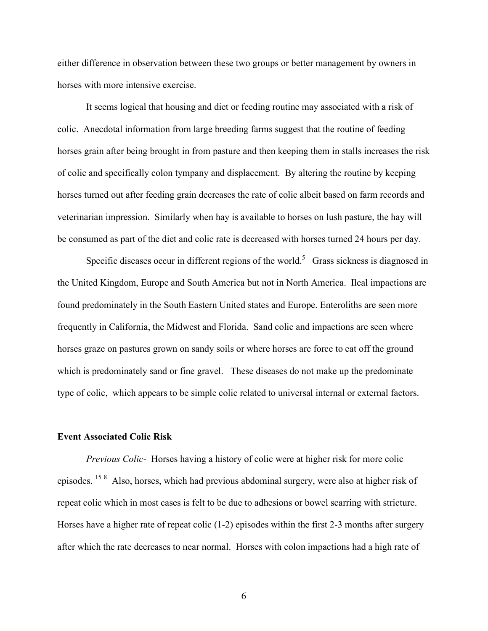either difference in observation between these two groups or better management by owners in horses with more intensive exercise.

It seems logical that housing and diet or feeding routine may associated with a risk of colic. Anecdotal information from large breeding farms suggest that the routine of feeding horses grain after being brought in from pasture and then keeping them in stalls increases the risk of colic and specifically colon tympany and displacement. By altering the routine by keeping horses turned out after feeding grain decreases the rate of colic albeit based on farm records and veterinarian impression. Similarly when hay is available to horses on lush pasture, the hay will be consumed as part of the diet and colic rate is decreased with horses turned 24 hours per day.

Specific diseases occur in different regions of the world.<sup>5</sup> Grass sickness is diagnosed in the United Kingdom, Europe and South America but not in North America. Ileal impactions are found predominately in the South Eastern United states and Europe. Enteroliths are seen more frequently in California, the Midwest and Florida. Sand colic and impactions are seen where horses graze on pastures grown on sandy soils or where horses are force to eat off the ground which is predominately sand or fine gravel. These diseases do not make up the predominate type of colic, which appears to be simple colic related to universal internal or external factors.

## **Event Associated Colic Risk**

*Previous Colic-* Horses having a history of colic were at higher risk for more colic episodes. <sup>15 8</sup> Also, horses, which had previous abdominal surgery, were also at higher risk of repeat colic which in most cases is felt to be due to adhesions or bowel scarring with stricture. Horses have a higher rate of repeat colic (1-2) episodes within the first 2-3 months after surgery after which the rate decreases to near normal. Horses with colon impactions had a high rate of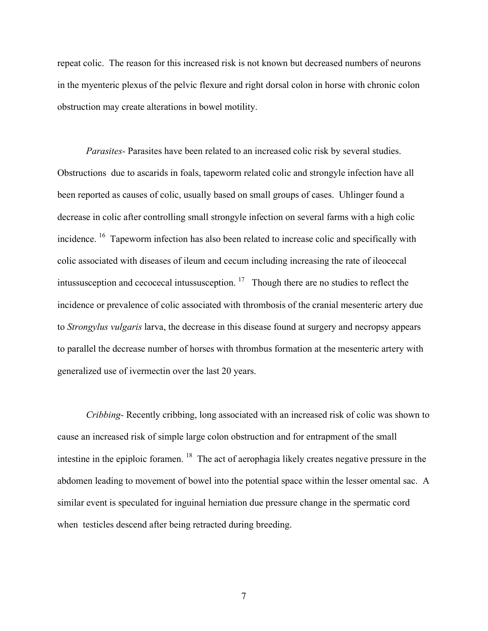repeat colic. The reason for this increased risk is not known but decreased numbers of neurons in the myenteric plexus of the pelvic flexure and right dorsal colon in horse with chronic colon obstruction may create alterations in bowel motility.

*Parasites-* Parasites have been related to an increased colic risk by several studies. Obstructions due to ascarids in foals, tapeworm related colic and strongyle infection have all been reported as causes of colic, usually based on small groups of cases. Uhlinger found a decrease in colic after controlling small strongyle infection on several farms with a high colic incidence. <sup>16</sup> Tapeworm infection has also been related to increase colic and specifically with colic associated with diseases of ileum and cecum including increasing the rate of ileocecal intussusception and cecocecal intussusception.  $17$  Though there are no studies to reflect the incidence or prevalence of colic associated with thrombosis of the cranial mesenteric artery due to *Strongylus vulgaris* larva, the decrease in this disease found at surgery and necropsy appears to parallel the decrease number of horses with thrombus formation at the mesenteric artery with generalized use of ivermectin over the last 20 years.

*Cribbing-* Recently cribbing, long associated with an increased risk of colic was shown to cause an increased risk of simple large colon obstruction and for entrapment of the small intestine in the epiploic foramen. <sup>18</sup> The act of aerophagia likely creates negative pressure in the abdomen leading to movement of bowel into the potential space within the lesser omental sac. A similar event is speculated for inguinal herniation due pressure change in the spermatic cord when testicles descend after being retracted during breeding.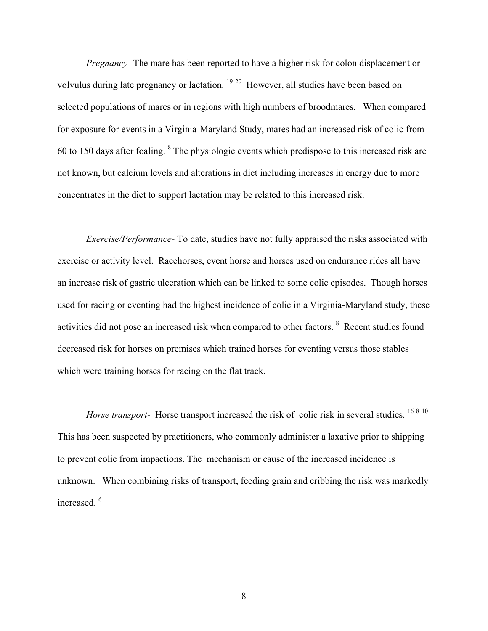*Pregnancy*- The mare has been reported to have a higher risk for colon displacement or volvulus during late pregnancy or lactation.<sup>19 20</sup> However, all studies have been based on selected populations of mares or in regions with high numbers of broodmares. When compared for exposure for events in a Virginia-Maryland Study, mares had an increased risk of colic from 60 to 150 days after foaling. <sup>8</sup> The physiologic events which predispose to this increased risk are not known, but calcium levels and alterations in diet including increases in energy due to more concentrates in the diet to support lactation may be related to this increased risk.

*Exercise/Performance-* To date, studies have not fully appraised the risks associated with exercise or activity level. Racehorses, event horse and horses used on endurance rides all have an increase risk of gastric ulceration which can be linked to some colic episodes. Though horses used for racing or eventing had the highest incidence of colic in a Virginia-Maryland study, these activities did not pose an increased risk when compared to other factors. <sup>8</sup> Recent studies found decreased risk for horses on premises which trained horses for eventing versus those stables which were training horses for racing on the flat track.

*Horse transport-* Horse transport increased the risk of colic risk in several studies. <sup>16 8 10</sup> This has been suspected by practitioners, who commonly administer a laxative prior to shipping to prevent colic from impactions. The mechanism or cause of the increased incidence is unknown. When combining risks of transport, feeding grain and cribbing the risk was markedly increased.<sup>6</sup>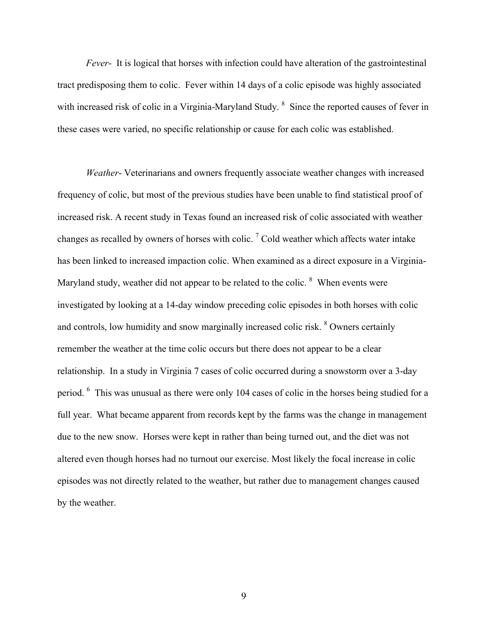*Fever*- It is logical that horses with infection could have alteration of the gastrointestinal tract predisposing them to colic. Fever within 14 days of a colic episode was highly associated with increased risk of colic in a Virginia-Maryland Study. <sup>8</sup> Since the reported causes of fever in these cases were varied, no specific relationship or cause for each colic was established.

*Weather*- Veterinarians and owners frequently associate weather changes with increased frequency of colic, but most of the previous studies have been unable to find statistical proof of increased risk. A recent study in Texas found an increased risk of colic associated with weather changes as recalled by owners of horses with colic.<sup>7</sup> Cold weather which affects water intake has been linked to increased impaction colic. When examined as a direct exposure in a Virginia-Maryland study, weather did not appear to be related to the colic.  $8$  When events were investigated by looking at a 14-day window preceding colic episodes in both horses with colic and controls, low humidity and snow marginally increased colic risk. <sup>8</sup> Owners certainly remember the weather at the time colic occurs but there does not appear to be a clear relationship. In a study in Virginia 7 cases of colic occurred during a snowstorm over a 3-day period. <sup>6</sup> This was unusual as there were only 104 cases of colic in the horses being studied for a full year. What became apparent from records kept by the farms was the change in management due to the new snow. Horses were kept in rather than being turned out, and the diet was not altered even though horses had no turnout our exercise. Most likely the focal increase in colic episodes was not directly related to the weather, but rather due to management changes caused by the weather.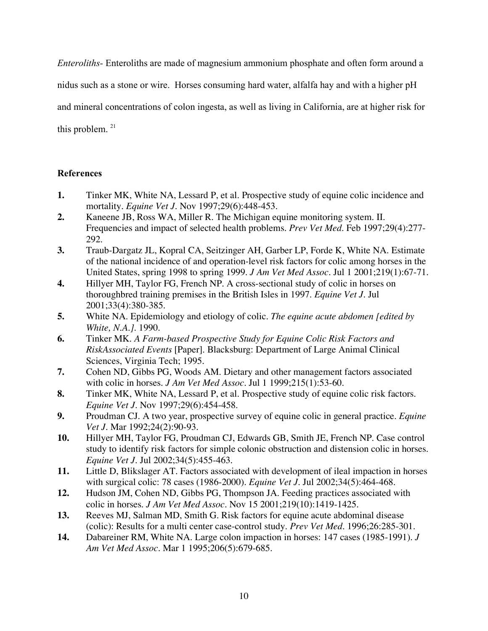*Enteroliths-* Enteroliths are made of magnesium ammonium phosphate and often form around a

nidus such as a stone or wire. Horses consuming hard water, alfalfa hay and with a higher pH

and mineral concentrations of colon ingesta, as well as living in California, are at higher risk for

this problem.  $21$ 

# **References**

- **1.** Tinker MK, White NA, Lessard P, et al. Prospective study of equine colic incidence and mortality. *Equine Vet J.* Nov 1997;29(6):448-453.
- **2.** Kaneene JB, Ross WA, Miller R. The Michigan equine monitoring system. II. Frequencies and impact of selected health problems. *Prev Vet Med.* Feb 1997;29(4):277- 292.
- **3.** Traub-Dargatz JL, Kopral CA, Seitzinger AH, Garber LP, Forde K, White NA. Estimate of the national incidence of and operation-level risk factors for colic among horses in the United States, spring 1998 to spring 1999. *J Am Vet Med Assoc.* Jul 1 2001;219(1):67-71.
- **4.** Hillyer MH, Taylor FG, French NP. A cross-sectional study of colic in horses on thoroughbred training premises in the British Isles in 1997. *Equine Vet J.* Jul 2001;33(4):380-385.
- **5.** White NA. Epidemiology and etiology of colic. *The equine acute abdomen [edited by White, N.A.].* 1990.
- **6.** Tinker MK. *A Farm-based Prospective Study for Equine Colic Risk Factors and RiskAssociated Events* [Paper]. Blacksburg: Department of Large Animal Clinical Sciences, Virginia Tech; 1995.
- **7.** Cohen ND, Gibbs PG, Woods AM. Dietary and other management factors associated with colic in horses. *J Am Vet Med Assoc.* Jul 1 1999;215(1):53-60.
- **8.** Tinker MK, White NA, Lessard P, et al. Prospective study of equine colic risk factors. *Equine Vet J.* Nov 1997;29(6):454-458.
- **9.** Proudman CJ. A two year, prospective survey of equine colic in general practice. *Equine Vet J.* Mar 1992;24(2):90-93.
- **10.** Hillyer MH, Taylor FG, Proudman CJ, Edwards GB, Smith JE, French NP. Case control study to identify risk factors for simple colonic obstruction and distension colic in horses. *Equine Vet J.* Jul 2002;34(5):455-463.
- **11.** Little D, Blikslager AT. Factors associated with development of ileal impaction in horses with surgical colic: 78 cases (1986-2000). *Equine Vet J.* Jul 2002;34(5):464-468.
- **12.** Hudson JM, Cohen ND, Gibbs PG, Thompson JA. Feeding practices associated with colic in horses. *J Am Vet Med Assoc.* Nov 15 2001;219(10):1419-1425.
- **13.** Reeves MJ, Salman MD, Smith G. Risk factors for equine acute abdominal disease (colic): Results for a multi center case-control study. *Prev Vet Med.* 1996;26:285-301.
- **14.** Dabareiner RM, White NA. Large colon impaction in horses: 147 cases (1985-1991). *J Am Vet Med Assoc.* Mar 1 1995;206(5):679-685.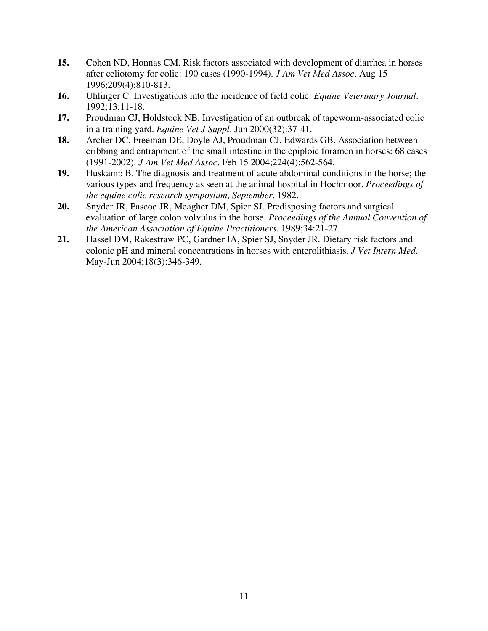- **15.** Cohen ND, Honnas CM. Risk factors associated with development of diarrhea in horses after celiotomy for colic: 190 cases (1990-1994). *J Am Vet Med Assoc.* Aug 15 1996;209(4):810-813.
- **16.** Uhlinger C. Investigations into the incidence of field colic. *Equine Veterinary Journal.*  1992;13:11-18.
- **17.** Proudman CJ, Holdstock NB. Investigation of an outbreak of tapeworm-associated colic in a training yard. *Equine Vet J Suppl.* Jun 2000(32):37-41.
- **18.** Archer DC, Freeman DE, Doyle AJ, Proudman CJ, Edwards GB. Association between cribbing and entrapment of the small intestine in the epiploic foramen in horses: 68 cases (1991-2002). *J Am Vet Med Assoc.* Feb 15 2004;224(4):562-564.
- **19.** Huskamp B. The diagnosis and treatment of acute abdominal conditions in the horse; the various types and frequency as seen at the animal hospital in Hochmoor. *Proceedings of the equine colic research symposium, September.* 1982.
- **20.** Snyder JR, Pascoe JR, Meagher DM, Spier SJ. Predisposing factors and surgical evaluation of large colon volvulus in the horse. *Proceedings of the Annual Convention of the American Association of Equine Practitioners.* 1989;34:21-27.
- **21.** Hassel DM, Rakestraw PC, Gardner IA, Spier SJ, Snyder JR. Dietary risk factors and colonic pH and mineral concentrations in horses with enterolithiasis. *J Vet Intern Med.*  May-Jun 2004;18(3):346-349.